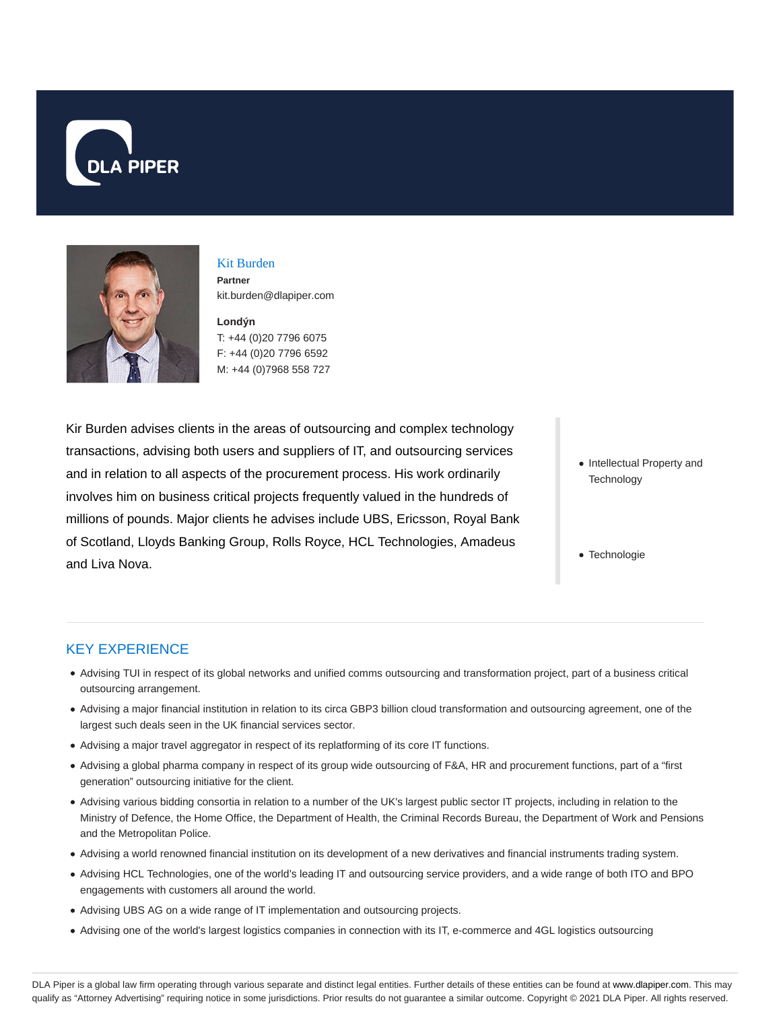



# Kit Burden **Partner** kit.burden@dlapiper.com

**Londýn** T: +44 (0)20 7796 6075 F: +44 (0)20 7796 6592 M: +44 (0)7968 558 727

Kir Burden advises clients in the areas of outsourcing and complex technology transactions, advising both users and suppliers of IT, and outsourcing services and in relation to all aspects of the procurement process. His work ordinarily involves him on business critical projects frequently valued in the hundreds of millions of pounds. Major clients he advises include UBS, Ericsson, Royal Bank of Scotland, Lloyds Banking Group, Rolls Royce, HCL Technologies, Amadeus and Liva Nova.

- Intellectual Property and **Technology**
- Technologie

## KEY EXPERIENCE

- Advising TUI in respect of its global networks and unified comms outsourcing and transformation project, part of a business critical outsourcing arrangement.
- Advising a major financial institution in relation to its circa GBP3 billion cloud transformation and outsourcing agreement, one of the largest such deals seen in the UK financial services sector.
- Advising a major travel aggregator in respect of its replatforming of its core IT functions.
- Advising a global pharma company in respect of its group wide outsourcing of F&A, HR and procurement functions, part of a "first generation" outsourcing initiative for the client.
- Advising various bidding consortia in relation to a number of the UK's largest public sector IT projects, including in relation to the Ministry of Defence, the Home Office, the Department of Health, the Criminal Records Bureau, the Department of Work and Pensions and the Metropolitan Police.
- Advising a world renowned financial institution on its development of a new derivatives and financial instruments trading system.
- Advising HCL Technologies, one of the world's leading IT and outsourcing service providers, and a wide range of both ITO and BPO engagements with customers all around the world.
- Advising UBS AG on a wide range of IT implementation and outsourcing projects.
- Advising one of the world's largest logistics companies in connection with its IT, e-commerce and 4GL logistics outsourcing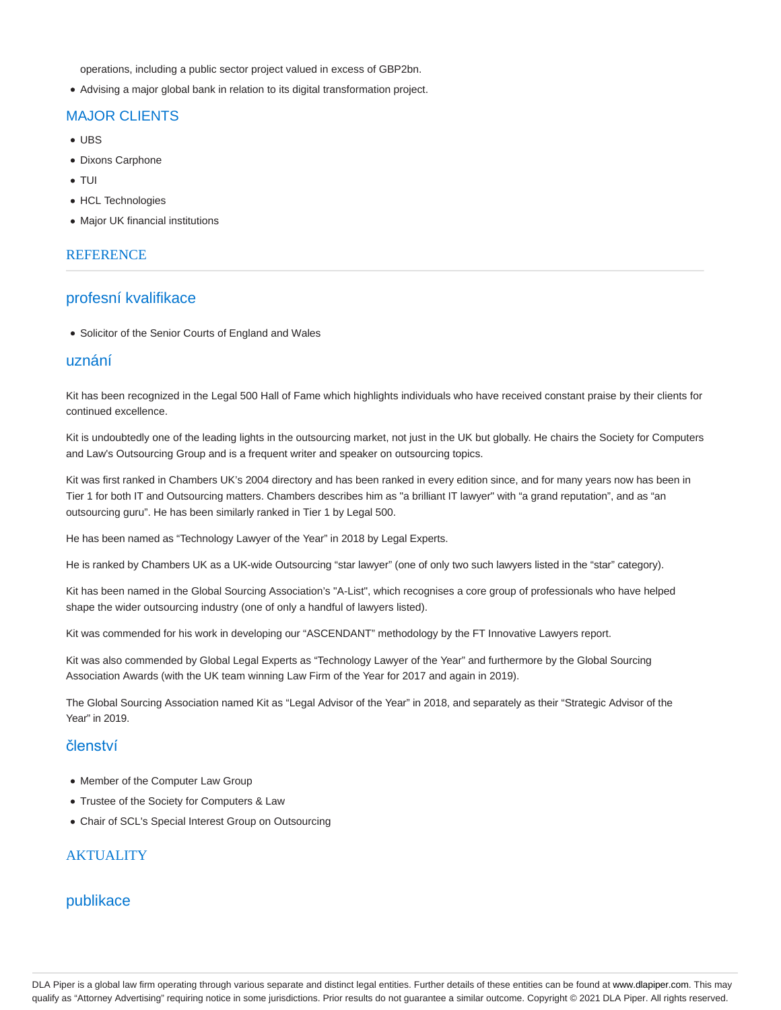operations, including a public sector project valued in excess of GBP2bn.

Advising a major global bank in relation to its digital transformation project.

# MAJOR CLIENTS

- UBS
- Dixons Carphone
- TUI
- HCL Technologies
- Major UK financial institutions

### **REFERENCE**

## profesní kvalifikace

• Solicitor of the Senior Courts of England and Wales

## uznání

Kit has been recognized in the Legal 500 Hall of Fame which highlights individuals who have received constant praise by their clients for continued excellence.

Kit is undoubtedly one of the leading lights in the outsourcing market, not just in the UK but globally. He chairs the Society for Computers and Law's Outsourcing Group and is a frequent writer and speaker on outsourcing topics.

Kit was first ranked in Chambers UK's 2004 directory and has been ranked in every edition since, and for many years now has been in Tier 1 for both IT and Outsourcing matters. Chambers describes him as "a brilliant IT lawyer" with "a grand reputation", and as "an outsourcing guru". He has been similarly ranked in Tier 1 by Legal 500.

He has been named as "Technology Lawyer of the Year" in 2018 by Legal Experts.

He is ranked by Chambers UK as a UK-wide Outsourcing "star lawyer" (one of only two such lawyers listed in the "star" category).

Kit has been named in the Global Sourcing Association's "A-List", which recognises a core group of professionals who have helped shape the wider outsourcing industry (one of only a handful of lawyers listed).

Kit was commended for his work in developing our "ASCENDANT" methodology by the FT Innovative Lawyers report.

Kit was also commended by Global Legal Experts as "Technology Lawyer of the Year" and furthermore by the Global Sourcing Association Awards (with the UK team winning Law Firm of the Year for 2017 and again in 2019).

The Global Sourcing Association named Kit as "Legal Advisor of the Year" in 2018, and separately as their "Strategic Advisor of the Year" in 2019.

# členství

- Member of the Computer Law Group
- Trustee of the Society for Computers & Law
- Chair of SCL's Special Interest Group on Outsourcing

## **AKTUALITY**

## publikace

DLA Piper is a global law firm operating through various separate and distinct legal entities. Further details of these entities can be found at www.dlapiper.com. This may qualify as "Attorney Advertising" requiring notice in some jurisdictions. Prior results do not guarantee a similar outcome. Copyright @ 2021 DLA Piper. All rights reserved.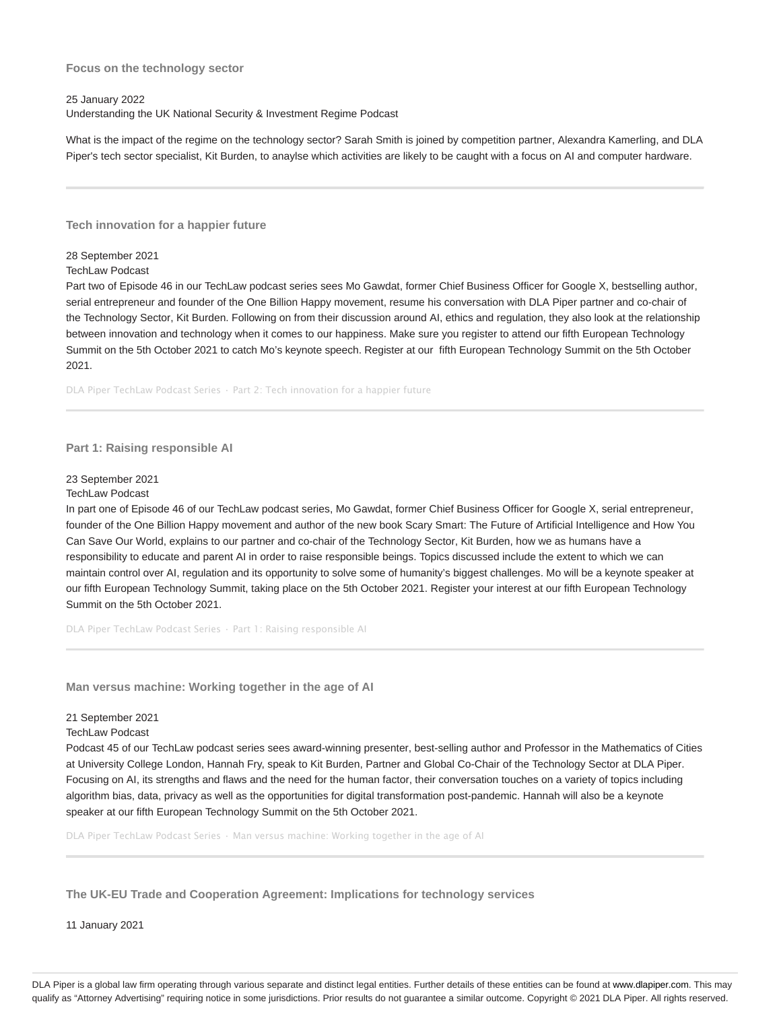### **Focus on the technology sector**

### 25 January 2022

Understanding the UK National Security & Investment Regime Podcast

What is the impact of the regime on the technology sector? Sarah Smith is joined by competition partner, Alexandra Kamerling, and DLA Piper's tech sector specialist, Kit Burden, to anaylse which activities are likely to be caught with a focus on AI and computer hardware.

**Tech innovation for a happier future**

### 28 September 2021

### TechLaw Podcast

Part two of Episode 46 in our TechLaw podcast series sees Mo Gawdat, former Chief Business Officer for Google X, bestselling author, serial entrepreneur and founder of the One Billion Happy movement, resume his conversation with DLA Piper partner and co-chair of the Technology Sector, Kit Burden. Following on from their discussion around AI, ethics and regulation, they also look at the relationship between innovation and technology when it comes to our happiness. Make sure you register to attend our fifth European Technology Summit on the 5th October 2021 to catch Mo's keynote speech. Register at our fifth European Technology Summit on the 5th October 2021.

DLA Piper TechLaw Podcast Series · Part 2: Tech innovation for a happier future

### **Part 1: Raising responsible AI**

#### 23 September 2021

### TechLaw Podcast

In part one of Episode 46 of our TechLaw podcast series, Mo Gawdat, former Chief Business Officer for Google X, serial entrepreneur, founder of the One Billion Happy movement and author of the new book Scary Smart: The Future of Artificial Intelligence and How You Can Save Our World, explains to our partner and co-chair of the Technology Sector, Kit Burden, how we as humans have a responsibility to educate and parent AI in order to raise responsible beings. Topics discussed include the extent to which we can maintain control over AI, regulation and its opportunity to solve some of humanity's biggest challenges. Mo will be a keynote speaker at our fifth European Technology Summit, taking place on the 5th October 2021. Register your interest at our fifth European Technology Summit on the 5th October 2021.

DLA Piper TechLaw Podcast Series · Part 1: Raising responsible AI

**Man versus machine: Working together in the age of AI**

### 21 September 2021

#### TechLaw Podcast

Podcast 45 of our TechLaw podcast series sees award-winning presenter, best-selling author and Professor in the Mathematics of Cities at University College London, Hannah Fry, speak to Kit Burden, Partner and Global Co-Chair of the Technology Sector at DLA Piper. Focusing on AI, its strengths and flaws and the need for the human factor, their conversation touches on a variety of topics including algorithm bias, data, privacy as well as the opportunities for digital transformation post-pandemic. Hannah will also be a keynote speaker at our fifth European Technology Summit on the 5th October 2021.

DLA Piper TechLaw Podcast Series · Man versus machine: Working together in the age of AI

**The UK-EU Trade and Cooperation Agreement: Implications for technology services**

11 January 2021

DLA Piper is a global law firm operating through various separate and distinct legal entities. Further details of these entities can be found at www.dlapiper.com. This may qualify as "Attorney Advertising" requiring notice in some jurisdictions. Prior results do not guarantee a similar outcome. Copyright @ 2021 DLA Piper. All rights reserved.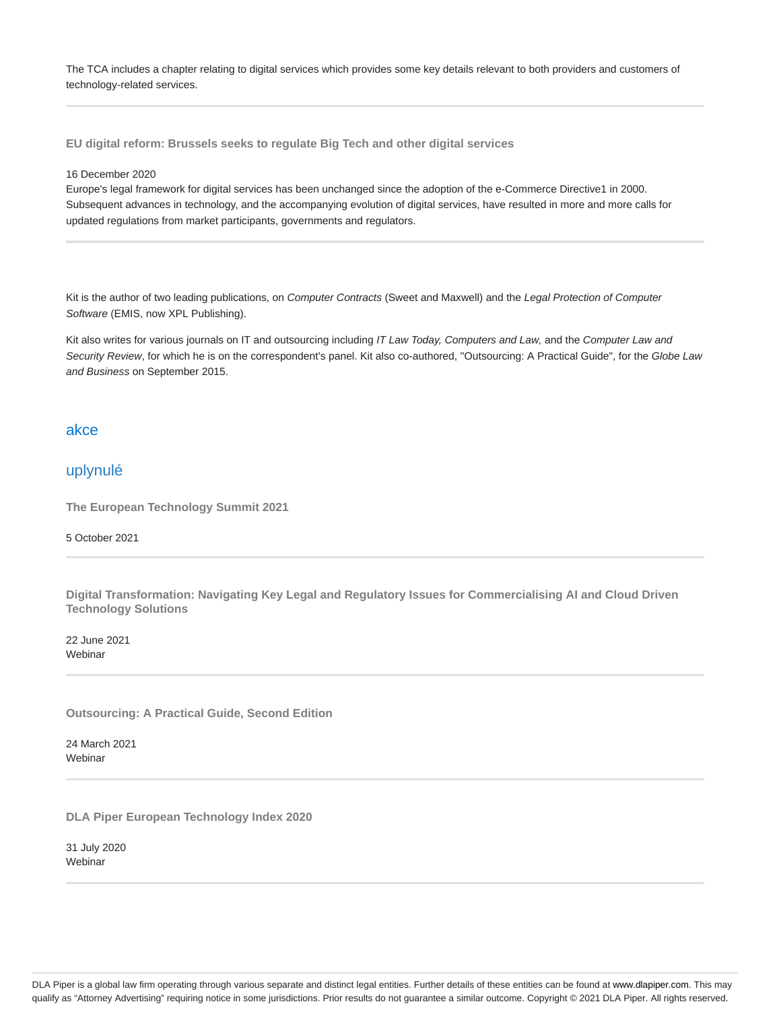The TCA includes a chapter relating to digital services which provides some key details relevant to both providers and customers of technology-related services.

**EU digital reform: Brussels seeks to regulate Big Tech and other digital services**

### 16 December 2020

Europe's legal framework for digital services has been unchanged since the adoption of the e-Commerce Directive1 in 2000. Subsequent advances in technology, and the accompanying evolution of digital services, have resulted in more and more calls for updated regulations from market participants, governments and regulators.

Kit is the author of two leading publications, on Computer Contracts (Sweet and Maxwell) and the Legal Protection of Computer Software (EMIS, now XPL Publishing).

Kit also writes for various journals on IT and outsourcing including IT Law Today, Computers and Law, and the Computer Law and Security Review, for which he is on the correspondent's panel. Kit also co-authored, ''Outsourcing: A Practical Guide", for the Globe Law and Business on September 2015.

### akce

# uplynulé

**The European Technology Summit 2021**

### 5 October 2021

**Digital Transformation: Navigating Key Legal and Regulatory Issues for Commercialising AI and Cloud Driven Technology Solutions**

22 June 2021 **Webinar** 

**Outsourcing: A Practical Guide, Second Edition**

24 March 2021 Webinar

**DLA Piper European Technology Index 2020**

31 July 2020 Webinar